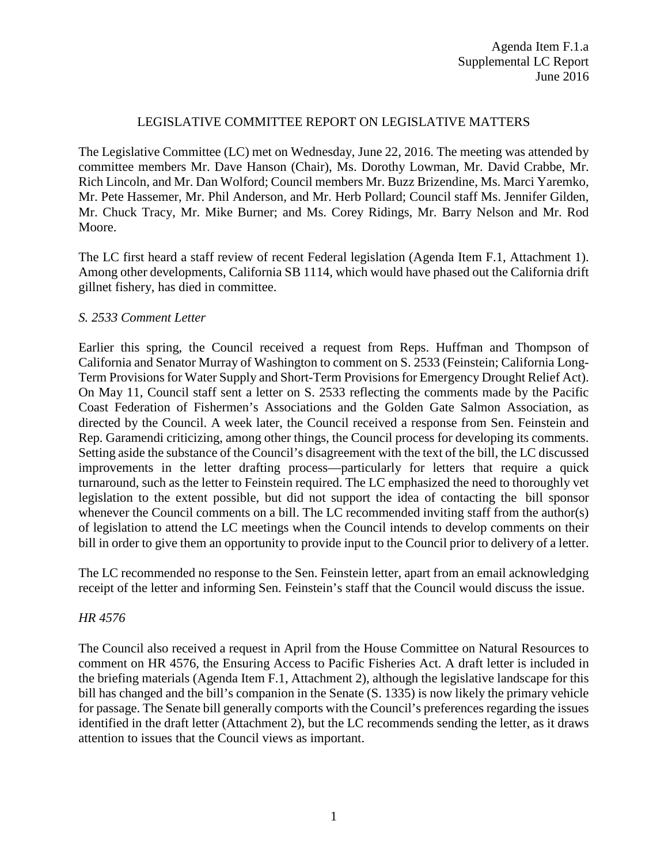## LEGISLATIVE COMMITTEE REPORT ON LEGISLATIVE MATTERS

The Legislative Committee (LC) met on Wednesday, June 22, 2016. The meeting was attended by committee members Mr. Dave Hanson (Chair), Ms. Dorothy Lowman, Mr. David Crabbe, Mr. Rich Lincoln, and Mr. Dan Wolford; Council members Mr. Buzz Brizendine, Ms. Marci Yaremko, Mr. Pete Hassemer, Mr. Phil Anderson, and Mr. Herb Pollard; Council staff Ms. Jennifer Gilden, Mr. Chuck Tracy, Mr. Mike Burner; and Ms. Corey Ridings, Mr. Barry Nelson and Mr. Rod Moore.

The LC first heard a staff review of recent Federal legislation (Agenda Item F.1, Attachment 1). Among other developments, California SB 1114, which would have phased out the California drift gillnet fishery, has died in committee.

## *S. 2533 Comment Letter*

Earlier this spring, the Council received a request from Reps. Huffman and Thompson of California and Senator Murray of Washington to comment on S. 2533 (Feinstein; California Long-Term Provisions for Water Supply and Short-Term Provisions for Emergency Drought Relief Act). On May 11, Council staff sent a letter on S. 2533 reflecting the comments made by the Pacific Coast Federation of Fishermen's Associations and the Golden Gate Salmon Association, as directed by the Council. A week later, the Council received a response from Sen. Feinstein and Rep. Garamendi criticizing, among other things, the Council process for developing its comments. Setting aside the substance of the Council's disagreement with the text of the bill, the LC discussed improvements in the letter drafting process—particularly for letters that require a quick turnaround, such as the letter to Feinstein required. The LC emphasized the need to thoroughly vet legislation to the extent possible, but did not support the idea of contacting the bill sponsor whenever the Council comments on a bill. The LC recommended inviting staff from the author(s) of legislation to attend the LC meetings when the Council intends to develop comments on their bill in order to give them an opportunity to provide input to the Council prior to delivery of a letter.

The LC recommended no response to the Sen. Feinstein letter, apart from an email acknowledging receipt of the letter and informing Sen. Feinstein's staff that the Council would discuss the issue.

#### *HR 4576*

The Council also received a request in April from the House Committee on Natural Resources to comment on HR 4576, the Ensuring Access to Pacific Fisheries Act. A draft letter is included in the briefing materials (Agenda Item F.1, Attachment 2), although the legislative landscape for this bill has changed and the bill's companion in the Senate (S. 1335) is now likely the primary vehicle for passage. The Senate bill generally comports with the Council's preferences regarding the issues identified in the draft letter (Attachment 2), but the LC recommends sending the letter, as it draws attention to issues that the Council views as important.